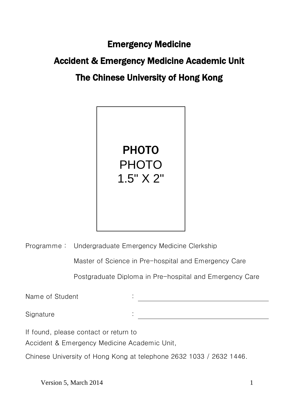## Emergency Medicine

# Accident & Emergency Medicine Academic Unit

# The Chinese University of Hong Kong



Programme : Undergraduate Emergency Medicine Clerkship

Master of Science in Pre-hospital and Emergency Care

Postgraduate Diploma in Pre-hospital and Emergency Care

Name of Student :

Signature

If found, please contact or return to

Accident & Emergency Medicine Academic Unit,

Chinese University of Hong Kong at telephone 2632 1033 / 2632 1446.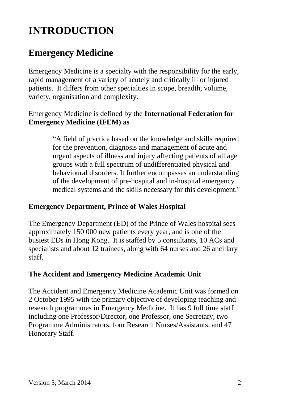# **INTRODUCTION**

## **Emergency Medicine**

Emergency Medicine is a specialty with the responsibility for the early, rapid management of a variety of acutely and critically ill or injured patients. It differs from other specialties in scope, breadth, volume, variety, organisation and complexity.

#### Emergency Medicine is defined by the **International Federation for Emergency Medicine (IFEM) as**

"A field of practice based on the knowledge and skills required for the prevention, diagnosis and management of acute and urgent aspects of illness and injury affecting patients of all age groups with a full spectrum of undifferentiated physical and behavioural disorders. It further encompasses an understanding of the development of pre-hospital and in-hospital emergency medical systems and the skills necessary for this development."

#### **Emergency Department, Prince of Wales Hospital**

The Emergency Department (ED) of the Prince of Wales hospital sees approximately 150 000 new patients every year, and is one of the busiest EDs in Hong Kong. It is staffed by 5 consultants, 10 ACs and specialists and about 12 trainees, along with 64 nurses and 26 ancillary staff.

#### **The Accident and Emergency Medicine Academic Unit**

The Accident and Emergency Medicine Academic Unit was formed on 2 October 1995 with the primary objective of developing teaching and research programmes in Emergency Medicine. It has 9 full time staff including one Professor/Director, one Professor, one Secretary, two Programme Administrators, four Research Nurses/Assistants, and 47 Honorary Staff.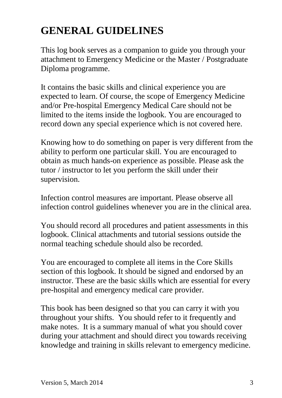# **GENERAL GUIDELINES**

This log book serves as a companion to guide you through your attachment to Emergency Medicine or the Master / Postgraduate Diploma programme.

It contains the basic skills and clinical experience you are expected to learn. Of course, the scope of Emergency Medicine and/or Pre-hospital Emergency Medical Care should not be limited to the items inside the logbook. You are encouraged to record down any special experience which is not covered here.

Knowing how to do something on paper is very different from the ability to perform one particular skill. You are encouraged to obtain as much hands-on experience as possible. Please ask the tutor / instructor to let you perform the skill under their supervision.

Infection control measures are important. Please observe all infection control guidelines whenever you are in the clinical area.

You should record all procedures and patient assessments in this logbook. Clinical attachments and tutorial sessions outside the normal teaching schedule should also be recorded.

You are encouraged to complete all items in the Core Skills section of this logbook. It should be signed and endorsed by an instructor. These are the basic skills which are essential for every pre-hospital and emergency medical care provider.

This book has been designed so that you can carry it with you throughout your shifts. You should refer to it frequently and make notes. It is a summary manual of what you should cover during your attachment and should direct you towards receiving knowledge and training in skills relevant to emergency medicine.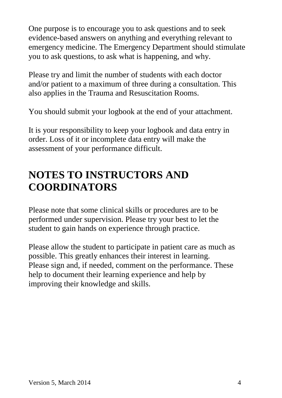One purpose is to encourage you to ask questions and to seek evidence-based answers on anything and everything relevant to emergency medicine. The Emergency Department should stimulate you to ask questions, to ask what is happening, and why.

Please try and limit the number of students with each doctor and/or patient to a maximum of three during a consultation. This also applies in the Trauma and Resuscitation Rooms.

You should submit your logbook at the end of your attachment.

It is your responsibility to keep your logbook and data entry in order. Loss of it or incomplete data entry will make the assessment of your performance difficult.

# **NOTES TO INSTRUCTORS AND COORDINATORS**

Please note that some clinical skills or procedures are to be performed under supervision. Please try your best to let the student to gain hands on experience through practice.

Please allow the student to participate in patient care as much as possible. This greatly enhances their interest in learning. Please sign and, if needed, comment on the performance. These help to document their learning experience and help by improving their knowledge and skills.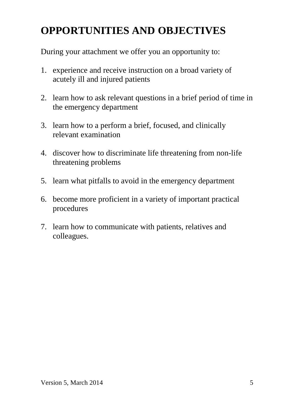# **OPPORTUNITIES AND OBJECTIVES**

During your attachment we offer you an opportunity to:

- 1. experience and receive instruction on a broad variety of acutely ill and injured patients
- 2. learn how to ask relevant questions in a brief period of time in the emergency department
- 3. learn how to a perform a brief, focused, and clinically relevant examination
- 4. discover how to discriminate life threatening from non-life threatening problems
- 5. learn what pitfalls to avoid in the emergency department
- 6. become more proficient in a variety of important practical procedures
- 7. learn how to communicate with patients, relatives and colleagues.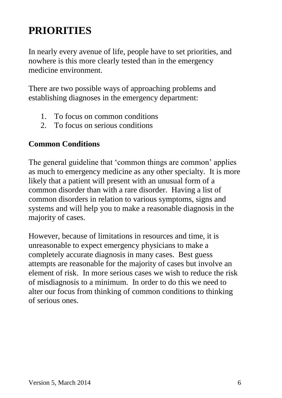# **PRIORITIES**

In nearly every avenue of life, people have to set priorities, and nowhere is this more clearly tested than in the emergency medicine environment.

There are two possible ways of approaching problems and establishing diagnoses in the emergency department:

- 1. To focus on common conditions
- 2. To focus on serious conditions

#### **Common Conditions**

The general guideline that 'common things are common' applies as much to emergency medicine as any other specialty. It is more likely that a patient will present with an unusual form of a common disorder than with a rare disorder. Having a list of common disorders in relation to various symptoms, signs and systems and will help you to make a reasonable diagnosis in the majority of cases.

However, because of limitations in resources and time, it is unreasonable to expect emergency physicians to make a completely accurate diagnosis in many cases. Best guess attempts are reasonable for the majority of cases but involve an element of risk. In more serious cases we wish to reduce the risk of misdiagnosis to a minimum. In order to do this we need to alter our focus from thinking of common conditions to thinking of serious ones.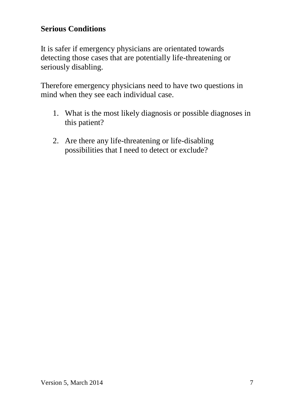#### **Serious Conditions**

It is safer if emergency physicians are orientated towards detecting those cases that are potentially life-threatening or seriously disabling.

Therefore emergency physicians need to have two questions in mind when they see each individual case.

- 1. What is the most likely diagnosis or possible diagnoses in this patient?
- 2. Are there any life-threatening or life-disabling possibilities that I need to detect or exclude?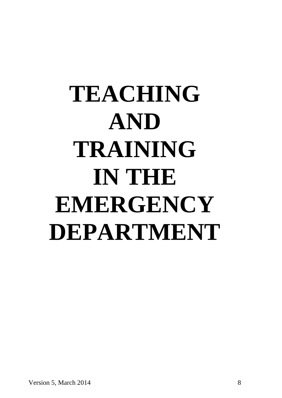# **TEACHING AND TRAINING IN THE EMERGENCY DEPARTMENT**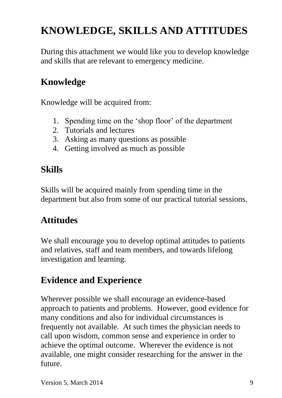# **KNOWLEDGE, SKILLS AND ATTITUDES**

During this attachment we would like you to develop knowledge and skills that are relevant to emergency medicine.

# **Knowledge**

Knowledge will be acquired from:

- 1. Spending time on the 'shop floor' of the department
- 2. Tutorials and lectures
- 3. Asking as many questions as possible
- 4. Getting involved as much as possible

# **Skills**

Skills will be acquired mainly from spending time in the department but also from some of our practical tutorial sessions.

# **Attitudes**

We shall encourage you to develop optimal attitudes to patients and relatives, staff and team members, and towards lifelong investigation and learning.

# **Evidence and Experience**

Wherever possible we shall encourage an evidence-based approach to patients and problems. However, good evidence for many conditions and also for individual circumstances is frequently not available. At such times the physician needs to call upon wisdom, common sense and experience in order to achieve the optimal outcome. Wherever the evidence is not available, one might consider researching for the answer in the future.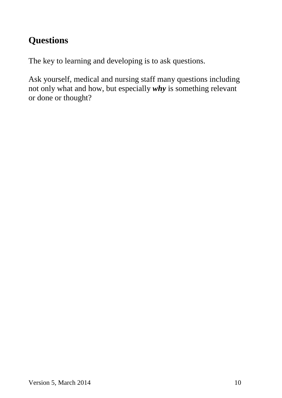## **Questions**

The key to learning and developing is to ask questions.

Ask yourself, medical and nursing staff many questions including not only what and how, but especially *why* is something relevant or done or thought?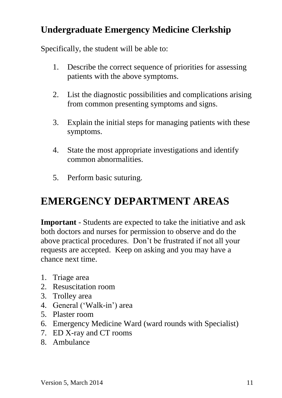# **Undergraduate Emergency Medicine Clerkship**

Specifically, the student will be able to:

- 1. Describe the correct sequence of priorities for assessing patients with the above symptoms.
- 2. List the diagnostic possibilities and complications arising from common presenting symptoms and signs.
- 3. Explain the initial steps for managing patients with these symptoms.
- 4. State the most appropriate investigations and identify common abnormalities.
- 5. Perform basic suturing.

# **EMERGENCY DEPARTMENT AREAS**

**Important** - Students are expected to take the initiative and ask both doctors and nurses for permission to observe and do the above practical procedures. Don't be frustrated if not all your requests are accepted. Keep on asking and you may have a chance next time.

- 1. Triage area
- 2. Resuscitation room
- 3. Trolley area
- 4. General ('Walk-in') area
- 5. Plaster room
- 6. Emergency Medicine Ward (ward rounds with Specialist)
- 7. ED X-ray and CT rooms
- 8. Ambulance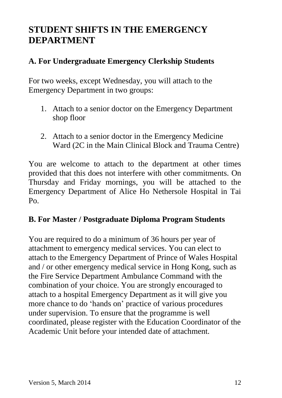# **STUDENT SHIFTS IN THE EMERGENCY DEPARTMENT**

#### **A. For Undergraduate Emergency Clerkship Students**

For two weeks, except Wednesday, you will attach to the Emergency Department in two groups:

- 1. Attach to a senior doctor on the Emergency Department shop floor
- 2. Attach to a senior doctor in the Emergency Medicine Ward (2C in the Main Clinical Block and Trauma Centre)

You are welcome to attach to the department at other times provided that this does not interfere with other commitments. On Thursday and Friday mornings, you will be attached to the Emergency Department of Alice Ho Nethersole Hospital in Tai Po.

#### **B. For Master / Postgraduate Diploma Program Students**

You are required to do a minimum of 36 hours per year of attachment to emergency medical services. You can elect to attach to the Emergency Department of Prince of Wales Hospital and / or other emergency medical service in Hong Kong, such as the Fire Service Department Ambulance Command with the combination of your choice. You are strongly encouraged to attach to a hospital Emergency Department as it will give you more chance to do 'hands on' practice of various procedures under supervision. To ensure that the programme is well coordinated, please register with the Education Coordinator of the Academic Unit before your intended date of attachment.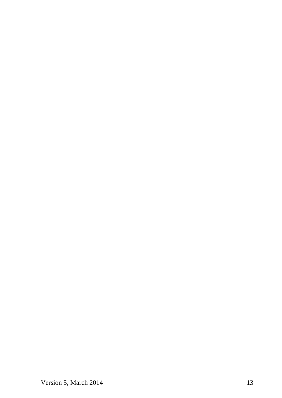Version 5, March 2014 13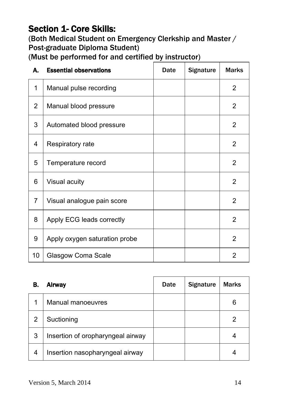## Section 1- Core Skills:

(Both Medical Student on Emergency Clerkship and Master / Post-graduate Diploma Student)

(Must be performed for and certified by instructor)

| А.             | <b>Essential observations</b> | Date | <b>Signature</b> | <b>Marks</b>   |
|----------------|-------------------------------|------|------------------|----------------|
| 1              | Manual pulse recording        |      |                  | 2              |
| 2              | Manual blood pressure         |      |                  | 2              |
| 3              | Automated blood pressure      |      |                  | 2              |
| 4              | Respiratory rate              |      |                  | 2              |
| 5              | Temperature record            |      |                  | 2              |
| 6              | Visual acuity                 |      |                  | 2              |
| $\overline{7}$ | Visual analogue pain score    |      |                  | 2              |
| 8              | Apply ECG leads correctly     |      |                  | 2              |
| 9              | Apply oxygen saturation probe |      |                  | $\overline{2}$ |
| 10             | Glasgow Coma Scale            |      |                  | 2              |

| В. | <b>Airway</b>                     | Date | <b>Signature</b> | <b>Marks</b> |
|----|-----------------------------------|------|------------------|--------------|
| 1  | Manual manoeuvres                 |      |                  | 6            |
| 2  | Suctioning                        |      |                  | 2            |
| 3  | Insertion of oropharyngeal airway |      |                  |              |
| 4  | Insertion nasopharyngeal airway   |      |                  |              |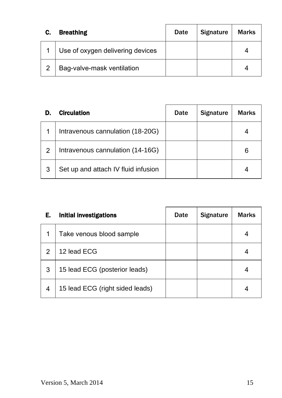| С. | <b>Breathing</b>                 | Date | <b>Signature</b> | <b>Marks</b> |
|----|----------------------------------|------|------------------|--------------|
|    | Use of oxygen delivering devices |      |                  |              |
|    | Bag-valve-mask ventilation       |      |                  |              |

| D. | <b>Circulation</b>                  | Date | <b>Signature</b> | <b>Marks</b> |
|----|-------------------------------------|------|------------------|--------------|
|    | Intravenous cannulation (18-20G)    |      |                  |              |
| 2  | Intravenous cannulation (14-16G)    |      |                  | 6            |
| 3  | Set up and attach IV fluid infusion |      |                  |              |

| Е.             | <b>Initial investigations</b>   | Date | <b>Signature</b> | <b>Marks</b> |
|----------------|---------------------------------|------|------------------|--------------|
| 1              | Take venous blood sample        |      |                  |              |
| $\mathfrak{p}$ | 12 lead ECG                     |      |                  |              |
| 3              | 15 lead ECG (posterior leads)   |      |                  |              |
| 4              | 15 lead ECG (right sided leads) |      |                  |              |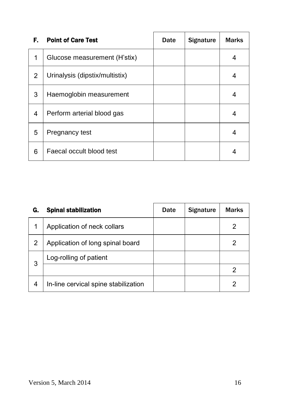| Е.             | <b>Point of Care Test</b>      | Date | <b>Signature</b> | <b>Marks</b> |
|----------------|--------------------------------|------|------------------|--------------|
| 1              | Glucose measurement (H'stix)   |      |                  |              |
| $\overline{2}$ | Urinalysis (dipstix/multistix) |      |                  | 4            |
| 3              | Haemoglobin measurement        |      |                  | 4            |
| 4              | Perform arterial blood gas     |      |                  | 4            |
| 5              | Pregnancy test                 |      |                  |              |
| 6              | Faecal occult blood test       |      |                  |              |

| G. | <b>Spinal stabilization</b>          | Date | <b>Signature</b> | <b>Marks</b> |
|----|--------------------------------------|------|------------------|--------------|
| 1  | Application of neck collars          |      |                  | 2            |
| 2  | Application of long spinal board     |      |                  | 2            |
| 3  | Log-rolling of patient               |      |                  |              |
|    |                                      |      |                  | 2            |
| 4  | In-line cervical spine stabilization |      |                  | າ            |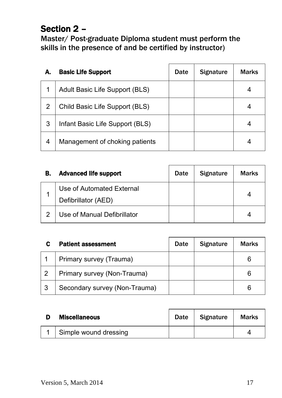## Section 2 –

Master/ Post-graduate Diploma student must perform the skills in the presence of and be certified by instructor)

| А. | <b>Basic Life Support</b>       | Date | <b>Signature</b> | <b>Marks</b> |
|----|---------------------------------|------|------------------|--------------|
| 1  | Adult Basic Life Support (BLS)  |      |                  |              |
| 2  | Child Basic Life Support (BLS)  |      |                  |              |
| 3  | Infant Basic Life Support (BLS) |      |                  |              |
| 4  | Management of choking patients  |      |                  |              |

| в. | <b>Advanced life support</b> | Date | <b>Signature</b> | <b>Marks</b> |
|----|------------------------------|------|------------------|--------------|
|    | Use of Automated External    |      |                  |              |
|    | Defibrillator (AED)          |      |                  |              |
| 2  | Use of Manual Defibrillator  |      |                  |              |

| C  | <b>Patient assessment</b>     | Date | <b>Signature</b> | <b>Marks</b> |
|----|-------------------------------|------|------------------|--------------|
|    | Primary survey (Trauma)       |      |                  |              |
| -2 | Primary survey (Non-Trauma)   |      |                  |              |
| -3 | Secondary survey (Non-Trauma) |      |                  |              |

| <b>Miscellaneous</b>  | Date | Signature | <b>Marks</b> |
|-----------------------|------|-----------|--------------|
| Simple wound dressing |      |           |              |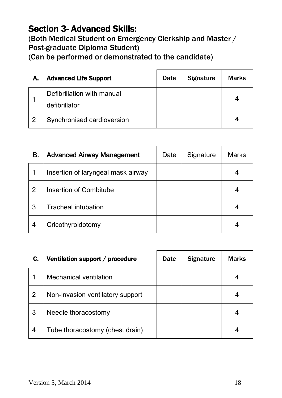## Section 3- Advanced Skills:

(Both Medical Student on Emergency Clerkship and Master / Post-graduate Diploma Student)

(Can be performed or demonstrated to the candidate)

| А. | <b>Advanced Life Support</b>                | Date | <b>Signature</b> | <b>Marks</b> |
|----|---------------------------------------------|------|------------------|--------------|
|    | Defibrillation with manual<br>defibrillator |      |                  |              |
| 2  | Synchronised cardioversion                  |      |                  |              |

| В. | <b>Advanced Airway Management</b>  | Date | Signature | Marks |
|----|------------------------------------|------|-----------|-------|
|    | Insertion of laryngeal mask airway |      |           |       |
| 2  | Insertion of Combitube             |      |           |       |
| 3  | Tracheal intubation                |      |           |       |
| 4  | Cricothyroidotomy                  |      |           |       |

| С. | Ventilation support / procedure  | Date | <b>Signature</b> | <b>Marks</b> |
|----|----------------------------------|------|------------------|--------------|
|    | Mechanical ventilation           |      |                  |              |
| 2  | Non-invasion ventilatory support |      |                  |              |
| 3  | Needle thoracostomy              |      |                  |              |
| 4  | Tube thoracostomy (chest drain)  |      |                  |              |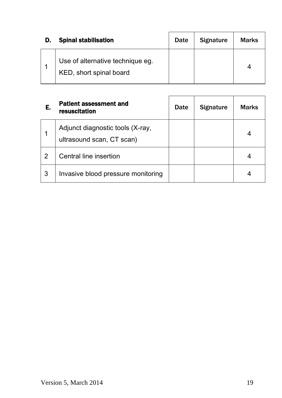| D. | <b>Spinal stabilisation</b>                                 | Date | <b>Signature</b> | <b>Marks</b> |
|----|-------------------------------------------------------------|------|------------------|--------------|
|    | Use of alternative technique eg.<br>KED, short spinal board |      |                  |              |

| Е. | <b>Patient assessment and</b><br>resuscitation                | Date | <b>Signature</b> | <b>Marks</b> |
|----|---------------------------------------------------------------|------|------------------|--------------|
|    | Adjunct diagnostic tools (X-ray,<br>ultrasound scan, CT scan) |      |                  |              |
| 2  | Central line insertion                                        |      |                  |              |
| 3  | Invasive blood pressure monitoring                            |      |                  |              |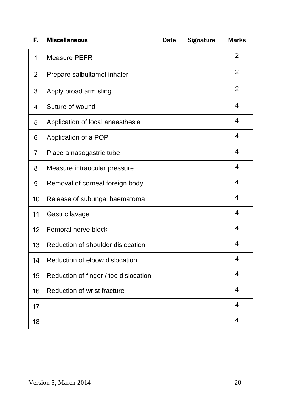| F. | <b>Miscellaneous</b>                  | Date | Signature | <b>Marks</b>   |
|----|---------------------------------------|------|-----------|----------------|
| 1  | <b>Measure PEFR</b>                   |      |           | $\overline{2}$ |
| 2  | Prepare salbultamol inhaler           |      |           | $\overline{2}$ |
| 3  | Apply broad arm sling                 |      |           | 2              |
| 4  | Suture of wound                       |      |           | 4              |
| 5  | Application of local anaesthesia      |      |           | 4              |
| 6  | Application of a POP                  |      |           | 4              |
| 7  | Place a nasogastric tube              |      |           | 4              |
| 8  | Measure intraocular pressure          |      |           | 4              |
| 9  | Removal of corneal foreign body       |      |           | 4              |
| 10 | Release of subungal haematoma         |      |           | 4              |
| 11 | Gastric lavage                        |      |           | 4              |
| 12 | Femoral nerve block                   |      |           | 4              |
| 13 | Reduction of shoulder dislocation     |      |           | 4              |
| 14 | Reduction of elbow dislocation        |      |           | 4              |
| 15 | Reduction of finger / toe dislocation |      |           | 4              |
| 16 | Reduction of wrist fracture           |      |           | 4              |
| 17 |                                       |      |           | 4              |
| 18 |                                       |      |           | 4              |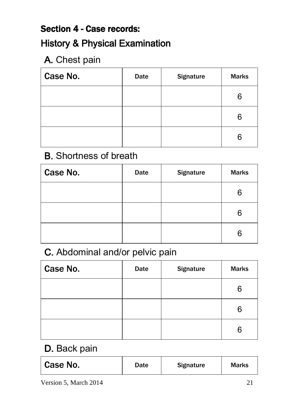# Section 4 - Case records:

# History & Physical Examination

# A. Chest pain

| Case No. | Date | Signature | <b>Marks</b> |
|----------|------|-----------|--------------|
|          |      |           | 6            |
|          |      |           | 6            |
|          |      |           | 6            |

# B. Shortness of breath

| Case No. | Date | Signature | <b>Marks</b> |
|----------|------|-----------|--------------|
|          |      |           | 6            |
|          |      |           | 6            |
|          |      |           | 6            |

# C. Abdominal and/or pelvic pain

| Case No. | Date | Signature | <b>Marks</b> |
|----------|------|-----------|--------------|
|          |      |           | 6            |
|          |      |           | 6            |
|          |      |           | 6            |

# D. Back pain

|--|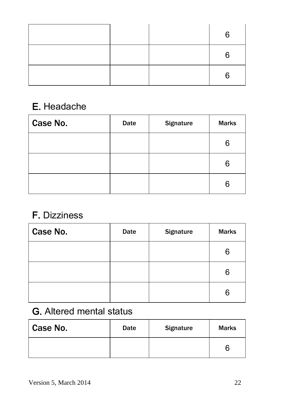|  | 6  |
|--|----|
|  | ิค |
|  | ีค |

# E. Headache

| Case No. | Date | Signature | <b>Marks</b> |
|----------|------|-----------|--------------|
|          |      |           | 6            |
|          |      |           | 6            |
|          |      |           | 6            |

# F. Dizziness

| Case No. | Date | <b>Signature</b> | <b>Marks</b> |
|----------|------|------------------|--------------|
|          |      |                  | 6            |
|          |      |                  | 6            |
|          |      |                  | 6            |

# G. Altered mental status

| Case No. | Date | <b>Signature</b> | <b>Marks</b> |
|----------|------|------------------|--------------|
|          |      |                  |              |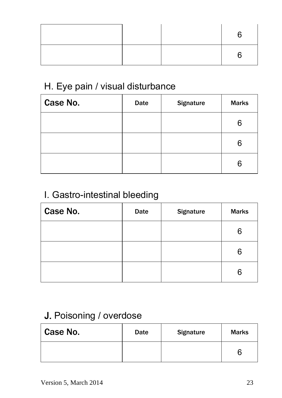# H. Eye pain / visual disturbance

| Case No. | Date | Signature | <b>Marks</b> |
|----------|------|-----------|--------------|
|          |      |           | 6            |
|          |      |           | 6            |
|          |      |           | 6            |

# I. Gastro-intestinal bleeding

| Case No. | Date | Signature | <b>Marks</b> |
|----------|------|-----------|--------------|
|          |      |           | 6            |
|          |      |           | 6            |
|          |      |           | 6            |

# J. Poisoning / overdose

| Case No. | Date | <b>Signature</b> | <b>Marks</b> |
|----------|------|------------------|--------------|
|          |      |                  | 6            |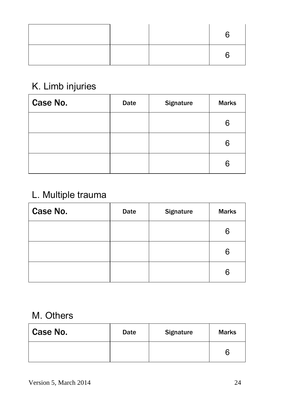# K. Limb injuries

| Case No. | Date | Signature | <b>Marks</b> |
|----------|------|-----------|--------------|
|          |      |           | 6            |
|          |      |           | 6            |
|          |      |           | 6            |

# L. Multiple trauma

| Case No. | Date | Signature | <b>Marks</b> |
|----------|------|-----------|--------------|
|          |      |           | 6            |
|          |      |           | 6            |
|          |      |           | 6            |

### M. Others

| Case No. | Date | <b>Signature</b> | <b>Marks</b> |
|----------|------|------------------|--------------|
|          |      |                  |              |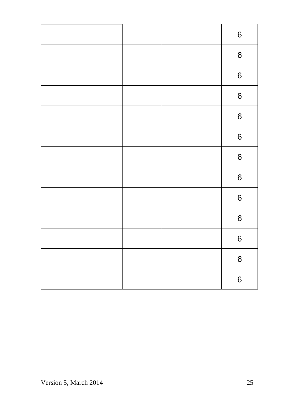| $\boldsymbol{6}$ |
|------------------|
| $\overline{6}$   |
| $\overline{6}$   |
| $\overline{6}$   |
| $\overline{6}$   |
| $\overline{6}$   |
| $\overline{6}$   |
| $\overline{6}$   |
| $\,6$            |
| $\overline{6}$   |
| $\overline{6}$   |
| $\overline{6}$   |
| 6                |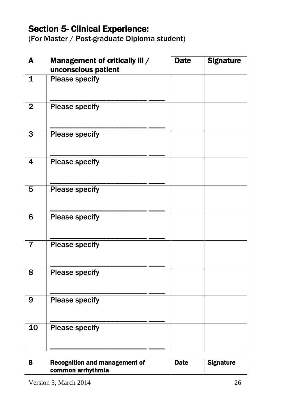## Section 5- Clinical Experience:

(For Master / Post-graduate Diploma student)

| A                       | Management of critically ill /<br>unconscious patient | <b>Date</b> | <b>Signature</b> |
|-------------------------|-------------------------------------------------------|-------------|------------------|
| 1                       | <b>Please specify</b>                                 |             |                  |
| $\overline{2}$          | <b>Please specify</b>                                 |             |                  |
| $\overline{\mathbf{3}}$ | <b>Please specify</b>                                 |             |                  |
| 4                       | <b>Please specify</b>                                 |             |                  |
| 5                       | <b>Please specify</b>                                 |             |                  |
| $\overline{6}$          | <b>Please specify</b>                                 |             |                  |
| 7                       | <b>Please specify</b>                                 |             |                  |
| $\overline{\mathbf{8}}$ | <b>Please specify</b>                                 |             |                  |
| 9                       | <b>Please specify</b>                                 |             |                  |
| $\overline{10}$         | <b>Please specify</b>                                 |             |                  |

#### B Recognition and management of common arrhythmia Date Signature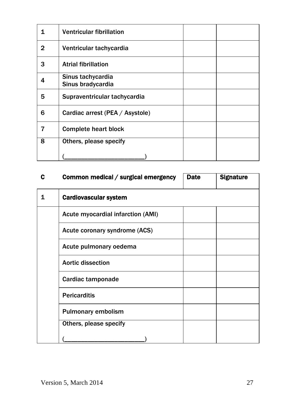| 1 | <b>Ventricular fibrillation</b>        |
|---|----------------------------------------|
| 2 | Ventricular tachycardia                |
| 3 | <b>Atrial fibrillation</b>             |
| 4 | Sinus tachycardia<br>Sinus bradycardia |
| 5 | Supraventricular tachycardia           |
| 6 | Cardiac arrest (PEA / Asystole)        |
| 7 | <b>Complete heart block</b>            |
| 8 | Others, please specify                 |
|   |                                        |

| c | Common medical / surgical emergency | <b>Date</b> | <b>Signature</b> |  |
|---|-------------------------------------|-------------|------------------|--|
| 1 | <b>Cardiovascular system</b>        |             |                  |  |
|   | Acute myocardial infarction (AMI)   |             |                  |  |
|   | Acute coronary syndrome (ACS)       |             |                  |  |
|   | Acute pulmonary oedema              |             |                  |  |
|   | <b>Aortic dissection</b>            |             |                  |  |
|   | Cardiac tamponade                   |             |                  |  |
|   | <b>Pericarditis</b>                 |             |                  |  |
|   | <b>Pulmonary embolism</b>           |             |                  |  |
|   | Others, please specify              |             |                  |  |
|   |                                     |             |                  |  |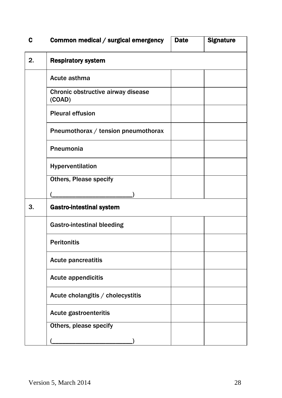| C  | Common medical / surgical emergency          | <b>Date</b> | <b>Signature</b> |
|----|----------------------------------------------|-------------|------------------|
| 2. | <b>Respiratory system</b>                    |             |                  |
|    | Acute asthma                                 |             |                  |
|    | Chronic obstructive airway disease<br>(COAD) |             |                  |
|    | <b>Pleural effusion</b>                      |             |                  |
|    | Pneumothorax / tension pneumothorax          |             |                  |
|    | Pneumonia                                    |             |                  |
|    | Hyperventilation                             |             |                  |
|    | <b>Others, Please specify</b>                |             |                  |
|    |                                              |             |                  |
| 3. | <b>Gastro-intestinal system</b>              |             |                  |
|    | <b>Gastro-intestinal bleeding</b>            |             |                  |
|    | <b>Peritonitis</b>                           |             |                  |
|    | <b>Acute pancreatitis</b>                    |             |                  |
|    | <b>Acute appendicitis</b>                    |             |                  |
|    | Acute cholangitis / cholecystitis            |             |                  |
|    | Acute gastroenteritis                        |             |                  |
|    | Others, please specify                       |             |                  |
|    |                                              |             |                  |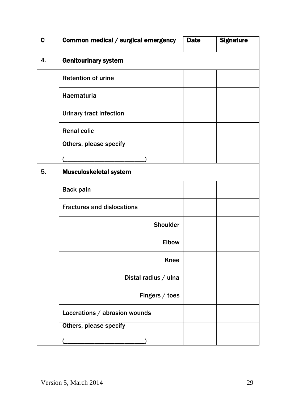| C  | Common medical / surgical emergency | <b>Date</b> | <b>Signature</b> |  |
|----|-------------------------------------|-------------|------------------|--|
| 4. | <b>Genitourinary system</b>         |             |                  |  |
|    | <b>Retention of urine</b>           |             |                  |  |
|    | Haematuria                          |             |                  |  |
|    | Urinary tract infection             |             |                  |  |
|    | <b>Renal colic</b>                  |             |                  |  |
|    | Others, please specify              |             |                  |  |
|    |                                     |             |                  |  |
| 5. | Musculoskeletal system              |             |                  |  |
|    | Back pain                           |             |                  |  |
|    | <b>Fractures and dislocations</b>   |             |                  |  |
|    | <b>Shoulder</b>                     |             |                  |  |
|    | <b>Elbow</b>                        |             |                  |  |
|    | Knee                                |             |                  |  |
|    | Distal radius / ulna                |             |                  |  |
|    | Fingers / toes                      |             |                  |  |
|    | Lacerations / abrasion wounds       |             |                  |  |
|    | Others, please specify              |             |                  |  |
|    |                                     |             |                  |  |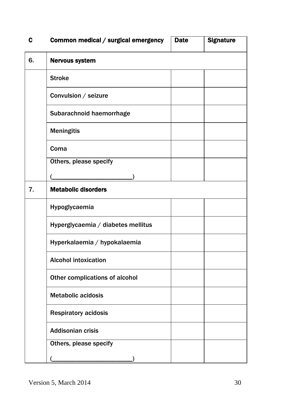| C  | Common medical / surgical emergency | <b>Date</b> | <b>Signature</b> |  |  |
|----|-------------------------------------|-------------|------------------|--|--|
| 6. | <b>Nervous system</b>               |             |                  |  |  |
|    | <b>Stroke</b>                       |             |                  |  |  |
|    | Convulsion / seizure                |             |                  |  |  |
|    | Subarachnoid haemorrhage            |             |                  |  |  |
|    | <b>Meningitis</b>                   |             |                  |  |  |
|    | Coma                                |             |                  |  |  |
|    | Others, please specify              |             |                  |  |  |
|    |                                     |             |                  |  |  |
| 7. | <b>Metabolic disorders</b>          |             |                  |  |  |
|    | Hypoglycaemia                       |             |                  |  |  |
|    | Hyperglycaemia / diabetes mellitus  |             |                  |  |  |
|    | Hyperkalaemia / hypokalaemia        |             |                  |  |  |
|    | <b>Alcohol intoxication</b>         |             |                  |  |  |
|    | Other complications of alcohol      |             |                  |  |  |
|    | <b>Metabolic acidosis</b>           |             |                  |  |  |
|    | <b>Respiratory acidosis</b>         |             |                  |  |  |
|    | <b>Addisonian crisis</b>            |             |                  |  |  |
|    | Others, please specify              |             |                  |  |  |
|    |                                     |             |                  |  |  |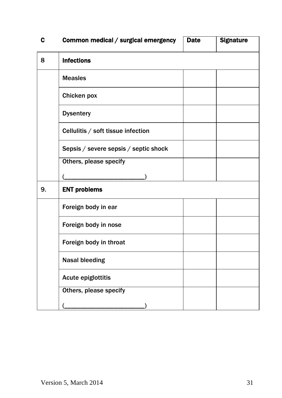| C  | Common medical / surgical emergency   | <b>Date</b> | <b>Signature</b> |
|----|---------------------------------------|-------------|------------------|
| 8  | <b>Infections</b>                     |             |                  |
|    | <b>Measles</b>                        |             |                  |
|    | Chicken pox                           |             |                  |
|    | <b>Dysentery</b>                      |             |                  |
|    | Cellulitis / soft tissue infection    |             |                  |
|    | Sepsis / severe sepsis / septic shock |             |                  |
|    | Others, please specify                |             |                  |
|    |                                       |             |                  |
| 9. | <b>ENT problems</b>                   |             |                  |
|    | Foreign body in ear                   |             |                  |
|    | Foreign body in nose                  |             |                  |
|    | Foreign body in throat                |             |                  |
|    | <b>Nasal bleeding</b>                 |             |                  |
|    | Acute epiglottitis                    |             |                  |
|    | Others, please specify                |             |                  |
|    |                                       |             |                  |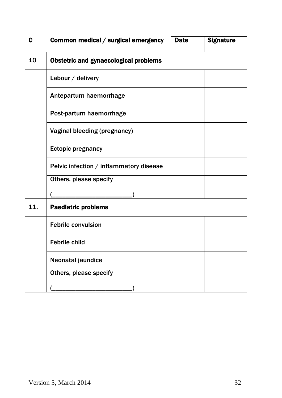| С   | Common medical / surgical emergency          | <b>Date</b> | <b>Signature</b> |  |
|-----|----------------------------------------------|-------------|------------------|--|
| 10  | <b>Obstetric and gynaecological problems</b> |             |                  |  |
|     | Labour / delivery                            |             |                  |  |
|     | Antepartum haemorrhage                       |             |                  |  |
|     | Post-partum haemorrhage                      |             |                  |  |
|     | Vaginal bleeding (pregnancy)                 |             |                  |  |
|     | <b>Ectopic pregnancy</b>                     |             |                  |  |
|     | Pelvic infection / inflammatory disease      |             |                  |  |
|     | Others, please specify                       |             |                  |  |
|     |                                              |             |                  |  |
| 11. | <b>Paediatric problems</b>                   |             |                  |  |
|     | <b>Febrile convulsion</b>                    |             |                  |  |
|     | <b>Febrile child</b>                         |             |                  |  |
|     | Neonatal jaundice                            |             |                  |  |
|     | Others, please specify                       |             |                  |  |
|     |                                              |             |                  |  |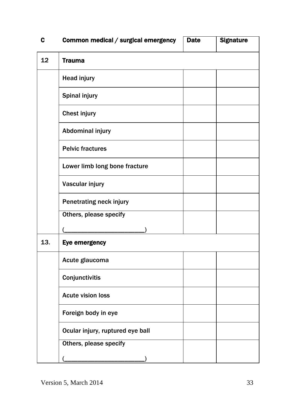| C   | Common medical / surgical emergency | <b>Date</b> | <b>Signature</b> |  |
|-----|-------------------------------------|-------------|------------------|--|
| 12  | <b>Trauma</b>                       |             |                  |  |
|     | <b>Head injury</b>                  |             |                  |  |
|     | Spinal injury                       |             |                  |  |
|     | Chest injury                        |             |                  |  |
|     | Abdominal injury                    |             |                  |  |
|     | <b>Pelvic fractures</b>             |             |                  |  |
|     | Lower limb long bone fracture       |             |                  |  |
|     | Vascular injury                     |             |                  |  |
|     | Penetrating neck injury             |             |                  |  |
|     | Others, please specify              |             |                  |  |
| 13. | Eye emergency                       |             |                  |  |
|     | Acute glaucoma                      |             |                  |  |
|     | Conjunctivitis                      |             |                  |  |
|     | <b>Acute vision loss</b>            |             |                  |  |
|     | Foreign body in eye                 |             |                  |  |
|     | Ocular injury, ruptured eye ball    |             |                  |  |
|     | Others, please specify              |             |                  |  |
|     |                                     |             |                  |  |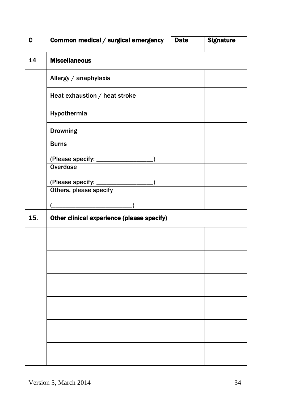| C   | Common medical / surgical emergency        | <b>Date</b> | <b>Signature</b> |  |
|-----|--------------------------------------------|-------------|------------------|--|
| 14  | <b>Miscellaneous</b>                       |             |                  |  |
|     | Allergy / anaphylaxis                      |             |                  |  |
|     | Heat exhaustion / heat stroke              |             |                  |  |
|     | Hypothermia                                |             |                  |  |
|     | Drowning                                   |             |                  |  |
|     | <b>Burns</b>                               |             |                  |  |
|     | (Please specify: ______________            |             |                  |  |
|     | <b>Overdose</b>                            |             |                  |  |
|     | (Please specify: _____                     |             |                  |  |
|     | Others, please specify                     |             |                  |  |
|     |                                            |             |                  |  |
| 15. | Other clinical experience (please specify) |             |                  |  |
|     |                                            |             |                  |  |
|     |                                            |             |                  |  |
|     |                                            |             |                  |  |
|     |                                            |             |                  |  |
|     |                                            |             |                  |  |
|     |                                            |             |                  |  |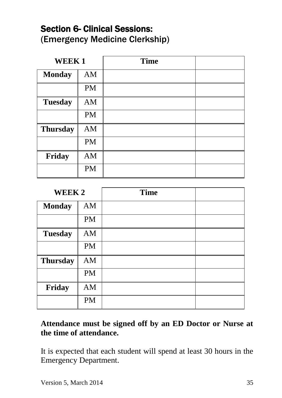## Section 6- Clinical Sessions: (Emergency Medicine Clerkship)

| <b>WEEK1</b>    |           | <b>Time</b> |  |
|-----------------|-----------|-------------|--|
| <b>Monday</b>   | AM        |             |  |
|                 | <b>PM</b> |             |  |
| <b>Tuesday</b>  | AM        |             |  |
|                 | <b>PM</b> |             |  |
| <b>Thursday</b> | AM        |             |  |
|                 | <b>PM</b> |             |  |
| Friday          | AM        |             |  |
|                 | <b>PM</b> |             |  |

| WEEK 2          |           | <b>Time</b> |  |
|-----------------|-----------|-------------|--|
| <b>Monday</b>   | AM        |             |  |
|                 | PM        |             |  |
| <b>Tuesday</b>  | AM        |             |  |
|                 | PM        |             |  |
| <b>Thursday</b> | AM        |             |  |
|                 | PM        |             |  |
| Friday          | AM        |             |  |
|                 | <b>PM</b> |             |  |

#### **Attendance must be signed off by an ED Doctor or Nurse at the time of attendance.**

It is expected that each student will spend at least 30 hours in the Emergency Department.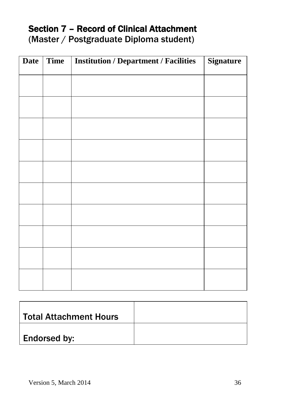# Section 7 – Record of Clinical Attachment (Master / Postgraduate Diploma student)

| <b>Date</b> | Time | <b>Institution / Department / Facilities</b> | <b>Signature</b> |
|-------------|------|----------------------------------------------|------------------|
|             |      |                                              |                  |
|             |      |                                              |                  |
|             |      |                                              |                  |
|             |      |                                              |                  |
|             |      |                                              |                  |
|             |      |                                              |                  |
|             |      |                                              |                  |
|             |      |                                              |                  |
|             |      |                                              |                  |
|             |      |                                              |                  |

| <b>Total Attachment Hours</b> |  |
|-------------------------------|--|
| Endorsed by:                  |  |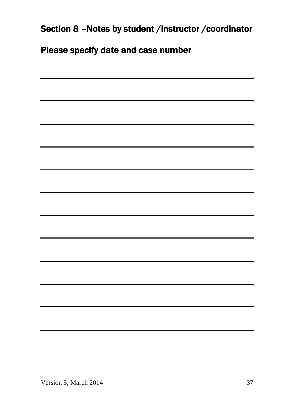# Section 8 –Notes by student /instructor /coordinator

# Please specify date and case number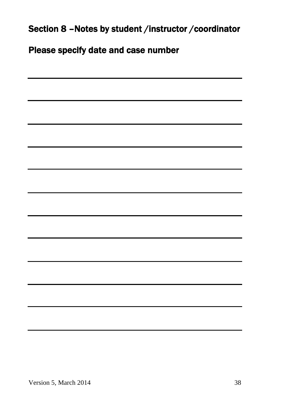# Section 8 –Notes by student /instructor /coordinator

# Please specify date and case number

Version 5, March 2014 38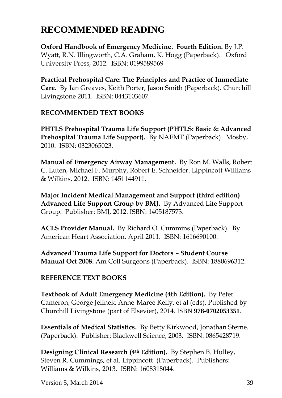# **RECOMMENDED READING**

**Oxford Handbook of Emergency Medicine. Fourth Edition.** By J.P. Wyatt, R.N. Illingworth, C.A. Graham, K. Hogg (Paperback). Oxford University Press, 2012. ISBN: 0199589569

**Practical Prehospital Care: The Principles and Practice of Immediate Care.** By Ian Greaves, Keith Porter, Jason Smith (Paperback). Churchill Livingstone 2011. ISBN: 0443103607

#### **RECOMMENDED TEXT BOOKS**

**PHTLS Prehospital Trauma Life Support (PHTLS: Basic & Advanced Prehospital Trauma Life Support).** By NAEMT (Paperback). Mosby, 2010. ISBN: 0323065023.

**Manual of Emergency Airway Management.** By Ron M. Walls, Robert C. Luten, Michael F. Murphy, Robert E. Schneider. Lippincott Williams & Wilkins, 2012. ISBN: 1451144911.

**Major Incident Medical Management and Support (third edition) Advanced Life Support Group by BMJ.** By Advanced Life Support Group. Publisher: BMJ, 2012. ISBN: 1405187573.

**ACLS Provider Manual.** By Richard O. Cummins (Paperback). By American Heart Association, April 2011. ISBN: 1616690100.

**Advanced Trauma Life Support for Doctors – Student Course Manual Oct 2008.** Am Coll Surgeons (Paperback). ISBN: 1880696312.

#### **REFERENCE TEXT BOOKS**

**Textbook of Adult Emergency Medicine (4th Edition).** By Peter Cameron, George Jelinek, Anne-Maree Kelly, et al (eds). Published by Churchill Livingstone (part of Elsevier), 2014. ISBN **978-0702053351**.

**Essentials of Medical Statistics.** By [Betty Kirkwood,](http://www.amazon.co.uk/exec/obidos/search-handle-url/202-4800563-1129407?%5Fencoding=UTF8&search-type=ss&index=books-uk&field-author=Betty%20Kirkwood) [Jonathan Sterne.](http://www.amazon.co.uk/exec/obidos/search-handle-url/202-4800563-1129407?%5Fencoding=UTF8&search-type=ss&index=books-uk&field-author=Jonathan%20Sterne) (Paperback). Publisher: Blackwell Science, 2003. ISBN: 0865428719.

**Designing Clinical Research (4 th Edition).** By Stephen B. Hulley, Steven R. Cummings, et al. Lippincott (Paperback). Publishers: Williams & Wilkins, 2013. ISBN: 1608318044.

Version 5, March 2014  $\overline{39}$